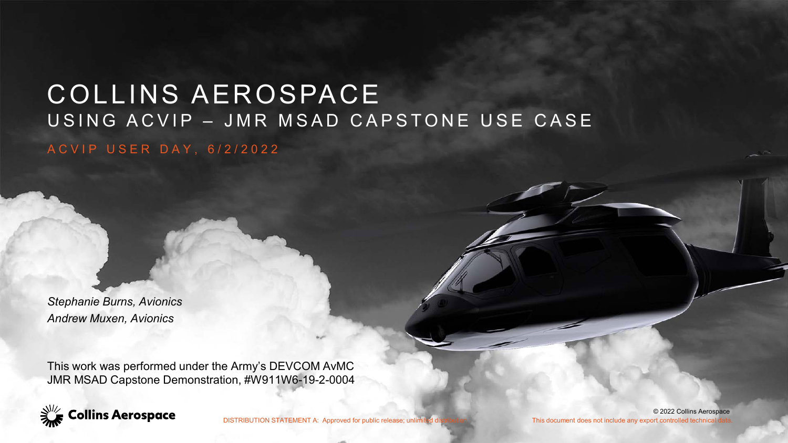#### COLLINS AEROSPACE USING ACVIP – JMR MSAD CAPSTONE USE CASE ACVIP USER DAY, 6/2/2022

*Stephanie Burns, Avionics Andrew Muxen, Avionics*

This work was performed under the Army's DEVCOM AvMC JMR MSAD Capstone Demonstration, #W911W6-19-2-0004



DISTRIBUTION STATEMENT A: Approved for public release; unlimited distribution This document does not include any export controlled technical

© 2022 Collins Aerospace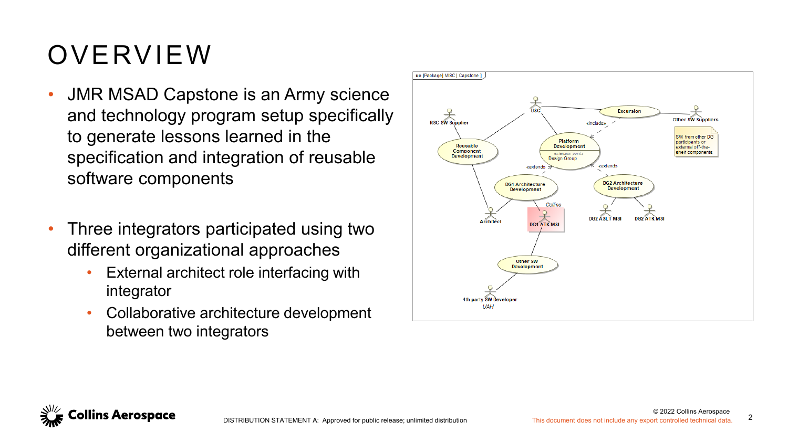### OVERVIEW

- JMR MSAD Capstone is an Army science and technology program setup specifically to generate lessons learned in the specification and integration of reusable software components
- Three integrators participated using two different organizational approaches
	- External architect role interfacing with integrator
	- Collaborative architecture development between two integrators



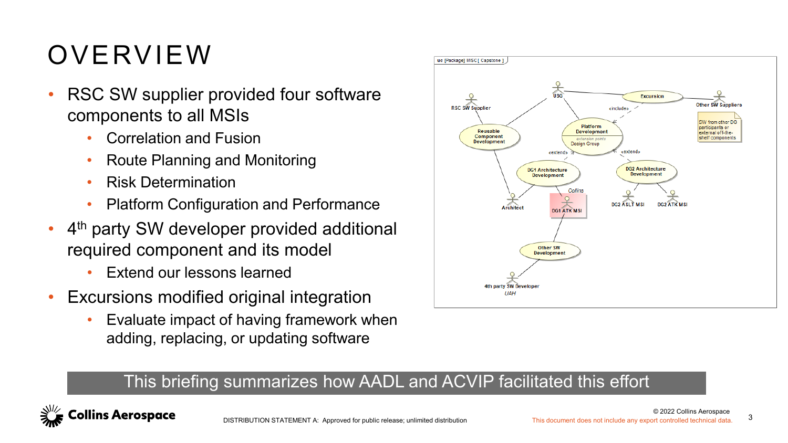### OVERVIEW

- RSC SW supplier provided four software components to all MSIs
	- Correlation and Fusion
	- Route Planning and Monitoring
	- Risk Determination
	- Platform Configuration and Performance
- $\cdot$  4<sup>th</sup> party SW developer provided additional required component and its model
	- Extend our lessons learned
- Excursions modified original integration
	- Evaluate impact of having framework when adding, replacing, or updating software



#### This briefing summarizes how AADL and ACVIP facilitated this effort

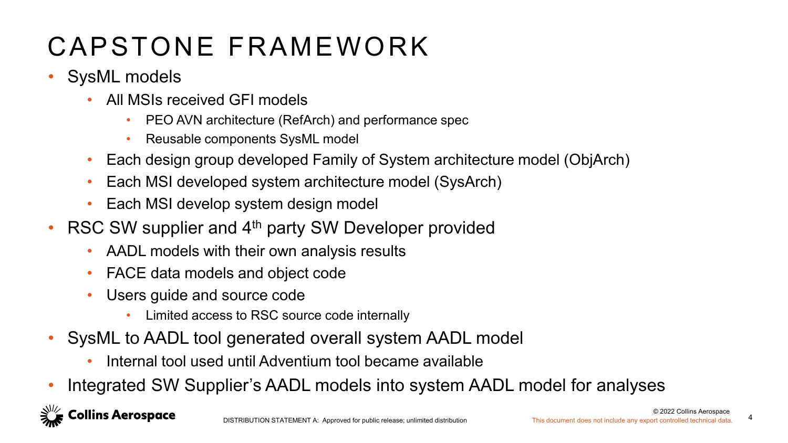### CAPSTONE FRAMEWORK

- SysML models
	- All MSIs received GFI models
		- PEO AVN architecture (RefArch) and performance spec
		- Reusable components SysML model
	- Each design group developed Family of System architecture model (ObjArch)
	- Each MSI developed system architecture model (SysArch)
	- Each MSI develop system design model
- RSC SW supplier and  $4<sup>th</sup>$  party SW Developer provided
	- AADL models with their own analysis results
	- FACE data models and object code
	- Users guide and source code
		- Limited access to RSC source code internally
- SysML to AADL tool generated overall system AADL model
	- Internal tool used until Adventium tool became available
- Integrated SW Supplier's AADL models into system AADL model for analyses

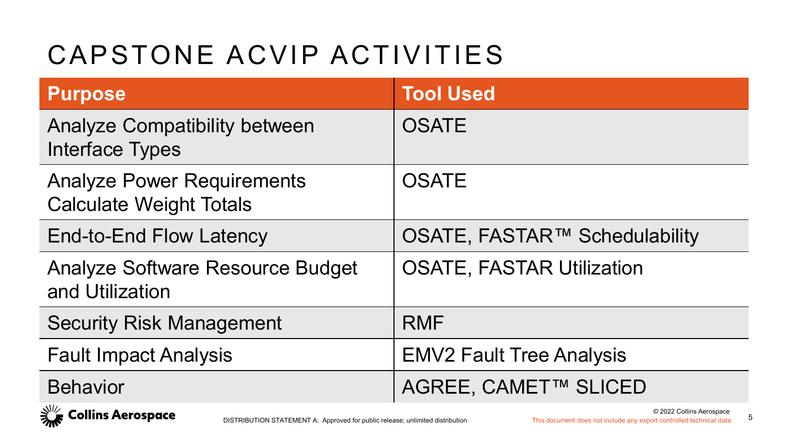### CAPSTONE ACVIP ACTIVITIES

| <b>Purpose</b>                                                      | <b>Tool Used</b>                 |
|---------------------------------------------------------------------|----------------------------------|
| <b>Analyze Compatibility between</b><br>Interface Types             | <b>OSATE</b>                     |
| <b>Analyze Power Requirements</b><br><b>Calculate Weight Totals</b> | <b>OSATE</b>                     |
| End-to-End Flow Latency                                             | OSATE, FASTAR™ Schedulability    |
| Analyze Software Resource Budget<br>and Utilization                 | <b>OSATE, FASTAR Utilization</b> |
| <b>Security Risk Management</b>                                     | <b>RMF</b>                       |
| <b>Fault Impact Analysis</b>                                        | <b>EMV2 Fault Tree Analysis</b>  |
| <b>Behavior</b>                                                     | AGREE, CAMET™ SLICED             |

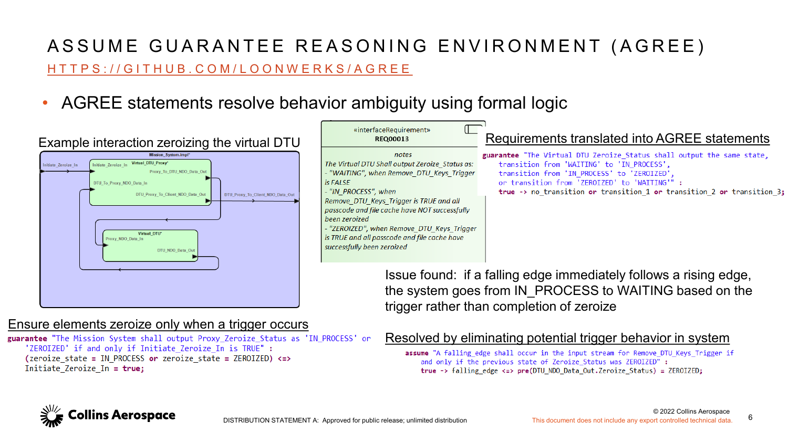#### [HTTPS://GITHUB.COM/LOONWERKS/AGREE](https://github.com/loonwerks/AGREE) ASSUME GUARANTEE REASONING ENVIRONMENT (AGREE)

• AGREE statements resolve behavior ambiguity using formal logic



#### Ensure elements zeroize only when a trigger occurs

guarantee "The Mission System shall output Proxy Zeroize Status as 'IN PROCESS' or 'ZEROIZED' if and only if Initiate Zeroize In is TRUE" : (zeroize state = IN PROCESS or zeroize state = ZEROIZED) <= > Initiate Zeroize In = true;

#### Resolved by eliminating potential trigger behavior in system

assume "A falling edge shall occur in the input stream for Remove DTU Keys Trigger if and only if the previous state of Zeroize Status was ZEROIZED" : true -> falling edge <=>  $pre(DTU NDO Data Out.Zeroize Status) = ZEROIZED;$ 

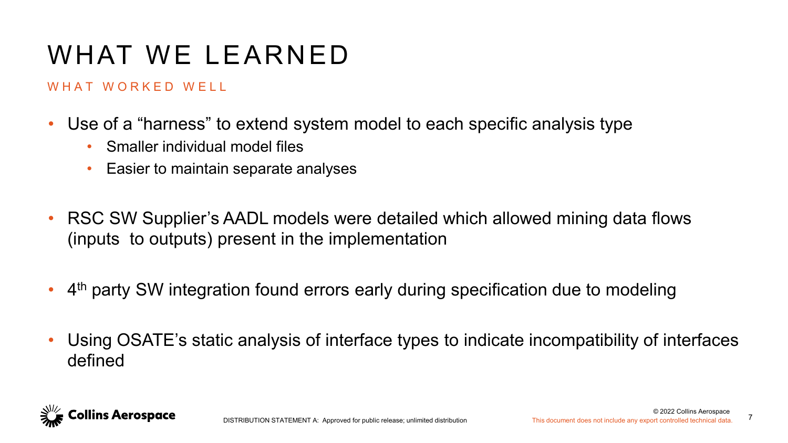### WHAT WE LEARNED

#### WHAT WORKED WFIL

- Use of a "harness" to extend system model to each specific analysis type
	- Smaller individual model files
	- Easier to maintain separate analyses
- RSC SW Supplier's AADL models were detailed which allowed mining data flows (inputs to outputs) present in the implementation
- 4<sup>th</sup> party SW integration found errors early during specification due to modeling
- Using OSATE's static analysis of interface types to indicate incompatibility of interfaces defined

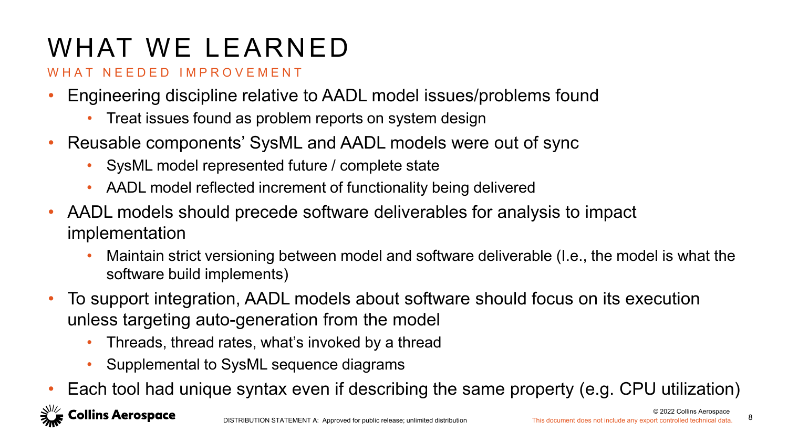# WHAT WE LEARNED

#### WHAT NEEDED IMPROVEMENT

- Engineering discipline relative to AADL model issues/problems found
	- Treat issues found as problem reports on system design
- Reusable components' SysML and AADL models were out of sync
	- SysML model represented future / complete state
	- AADL model reflected increment of functionality being delivered
- AADL models should precede software deliverables for analysis to impact implementation
	- Maintain strict versioning between model and software deliverable (I.e., the model is what the software build implements)
- To support integration, AADL models about software should focus on its execution unless targeting auto-generation from the model
	- Threads, thread rates, what's invoked by a thread
	- Supplemental to SysML sequence diagrams
- Each tool had unique syntax even if describing the same property (e.g. CPU utilization)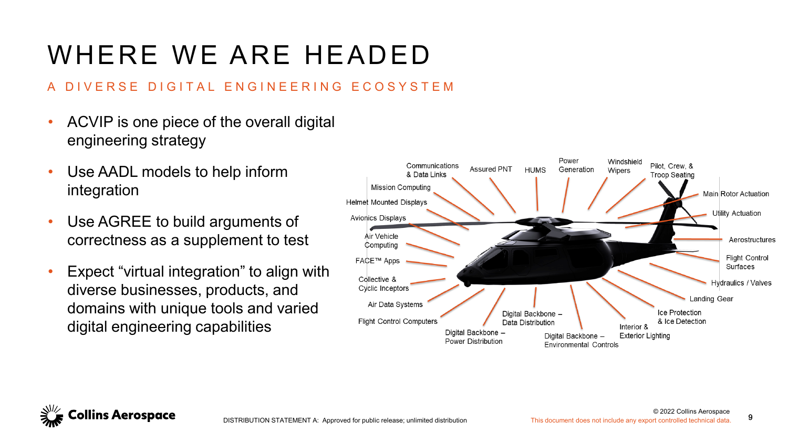### WHERE WE ARE HEADED

#### A DIVERSE DIGITAL ENGINEERING ECOSYSTEM

- ACVIP is one piece of the overall digital engineering strategy
- Use AADL models to help inform integration
- Use AGREE to build arguments of correctness as a supplement to test
- Expect "virtual integration" to align with diverse businesses, products, and domains with unique tools and varied digital engineering capabilities



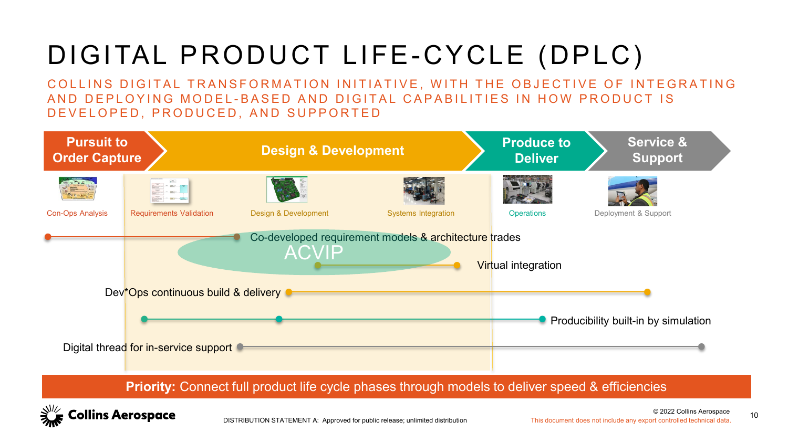# DIGITAL PRODUCT LIFE-CYCLE (DPLC)

COLLINS DIGITAL TRANSFORMATION INITIATIVE, WITH THE OBJECTIVE OF INTEGRATING AND DEPLOYING MODEL-BASED AND DIGITAL CAPABILITIES IN HOW PRODUCT IS DEVELOPED, PRODUCED, AND SUPPORTED



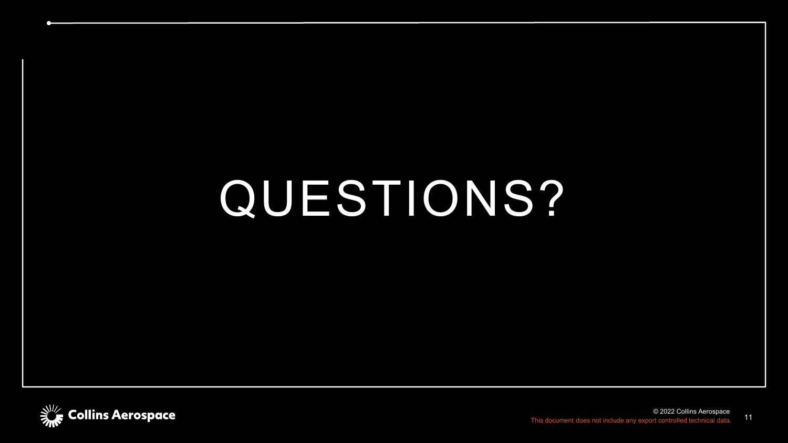# QUESTIONS?

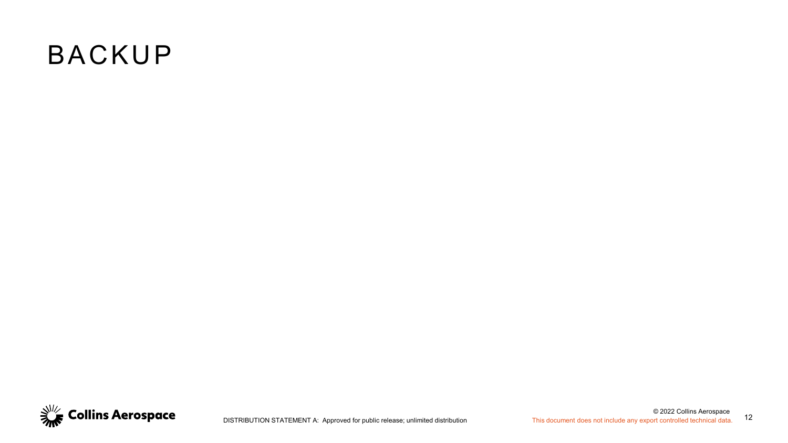#### BACKUP

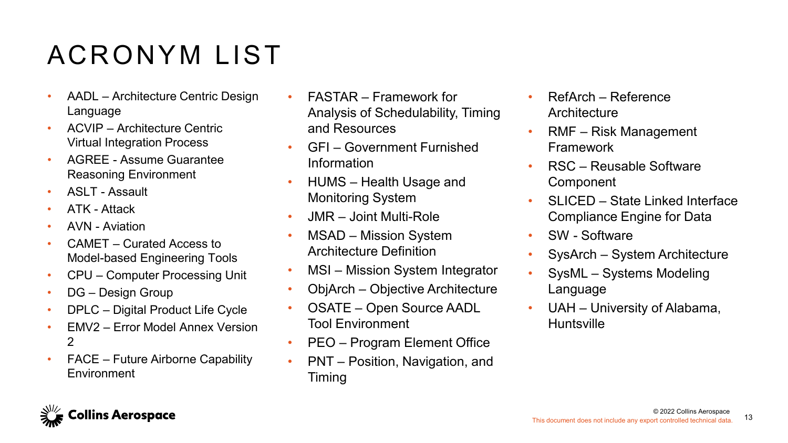### ACRONYM LIST

- AADL Architecture Centric Design Language
- ACVIP Architecture Centric Virtual Integration Process
- AGREE Assume Guarantee Reasoning Environment
- ASLT Assault
- ATK Attack
- AVN Aviation
- CAMET Curated Access to Model-based Engineering Tools
- CPU Computer Processing Unit
- DG Design Group
- DPLC Digital Product Life Cycle
- **FMV2** Frror Model Annex Version 2
- FACE Future Airborne Capability **Environment**
- FASTAR Framework for Analysis of Schedulability, Timing and Resources
- GFI Government Furnished Information
- HUMS Health Usage and Monitoring System
- JMR Joint Multi-Role
- MSAD Mission System Architecture Definition
- MSI Mission System Integrator
- ObjArch Objective Architecture
- OSATE Open Source AADL Tool Environment
- PEO Program Element Office
- PNT Position, Navigation, and Timing
- RefArch Reference **Architecture**
- RMF Risk Management Framework
- RSC Reusable Software Component
- SLICED State Linked Interface Compliance Engine for Data
- SW Software
- SysArch System Architecture
- SysML Systems Modeling Language
- UAH University of Alabama, Huntsville

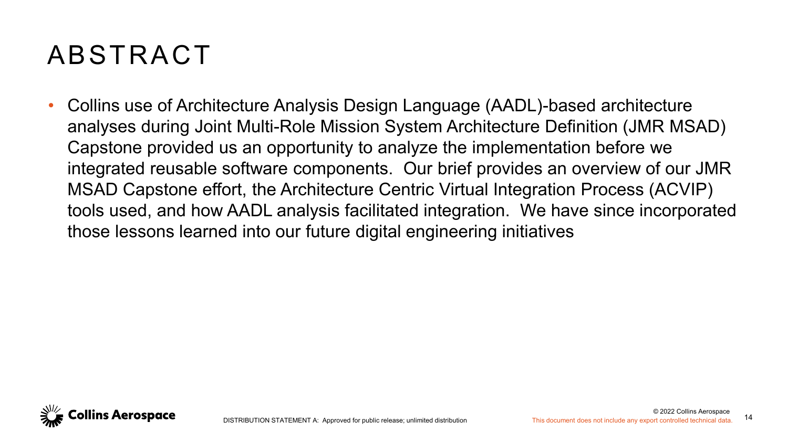#### ABSTRACT

• Collins use of Architecture Analysis Design Language (AADL)-based architecture analyses during Joint Multi-Role Mission System Architecture Definition (JMR MSAD) Capstone provided us an opportunity to analyze the implementation before we integrated reusable software components. Our brief provides an overview of our JMR MSAD Capstone effort, the Architecture Centric Virtual Integration Process (ACVIP) tools used, and how AADL analysis facilitated integration. We have since incorporated those lessons learned into our future digital engineering initiatives